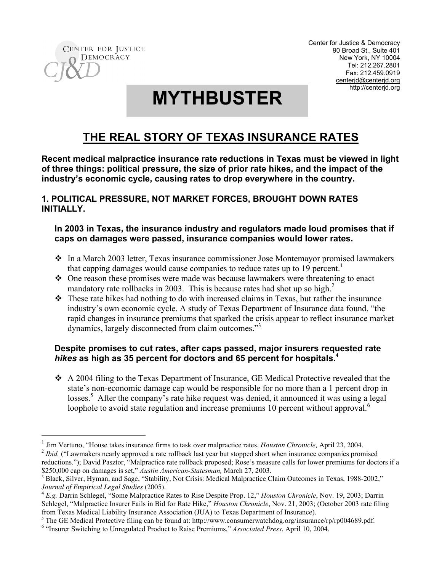

 $\overline{a}$ 

Center for Justice & Democracy 90 Broad St., Suite 401 New York, NY 10004 Tel: 212.267.2801 Fax: 212.459.0919 centerjd@centerjd.org http://centerjd.org

# **MYTHBUSTER**

# **THE REAL STORY OF TEXAS INSURANCE RATES**

**Recent medical malpractice insurance rate reductions in Texas must be viewed in light of three things: political pressure, the size of prior rate hikes, and the impact of the industry's economic cycle, causing rates to drop everywhere in the country.**

## **1. POLITICAL PRESSURE, NOT MARKET FORCES, BROUGHT DOWN RATES INITIALLY.**

#### **In 2003 in Texas, the insurance industry and regulators made loud promises that if caps on damages were passed, insurance companies would lower rates.**

- In a March 2003 letter, Texas insurance commissioner Jose Montemayor promised lawmakers that capping damages would cause companies to reduce rates up to 19 percent.<sup>1</sup>
- One reason these promises were made was because lawmakers were threatening to enact mandatory rate rollbacks in 2003. This is because rates had shot up so high.<sup>2</sup>
- These rate hikes had nothing to do with increased claims in Texas, but rather the insurance industry's own economic cycle. A study of Texas Department of Insurance data found, "the rapid changes in insurance premiums that sparked the crisis appear to reflect insurance market dynamics, largely disconnected from claim outcomes."<sup>3</sup>

### **Despite promises to cut rates, after caps passed, major insurers requested rate** *hikes* **as high as 35 percent for doctors and 65 percent for hospitals. 4**

 A 2004 filing to the Texas Department of Insurance, GE Medical Protective revealed that the state's non-economic damage cap would be responsible for no more than a 1 percent drop in losses.<sup>5</sup> After the company's rate hike request was denied, it announced it was using a legal loophole to avoid state regulation and increase premiums 10 percent without approval.<sup>6</sup>

<sup>&</sup>lt;sup>1</sup> Jim Vertuno, "House takes insurance firms to task over malpractice rates, *Houston Chronicle*, April 23, 2004.<br><sup>2</sup> *Ibid.* ("Lawmakers nearly approved a rate rollback last year but stopped short when insurance compani reductions."); David Pasztor, "Malpractice rate rollback proposed; Rose's measure calls for lower premiums for doctors if a \$250,000 cap on damages is set," *Austin American-Statesman,* March 27, 2003.

<sup>&</sup>lt;sup>3</sup> Black, Silver, Hyman, and Sage, "Stability, Not Crisis: Medical Malpractice Claim Outcomes in Texas, 1988-2002," Journal of Empirical Legal Studies (2005).

<sup>&</sup>lt;sup>4</sup> *E.g.* Darrin Schlegel, "Some Malpractice Rates to Rise Despite Prop. 12," *Houston Chronicle*, Nov. 19, 2003; Darrin Schlegel, "Malpractice Insurer Fails in Bid for Rate Hike," *Houston Chronicle*, Nov. 21, 2003; (October 2003 rate filing from Texas Medical Liability Insurance Association (JUA) to Texas Department of Insurance).

<sup>&</sup>lt;sup>5</sup> The GE Medical Protective filing can be found at: http://www.consumerwatchdog.org/insurance/rp/rp004689.pdf.

<sup>6</sup> "Insurer Switching to Unregulated Product to Raise Premiums," *Associated Press*, April 10, 2004.